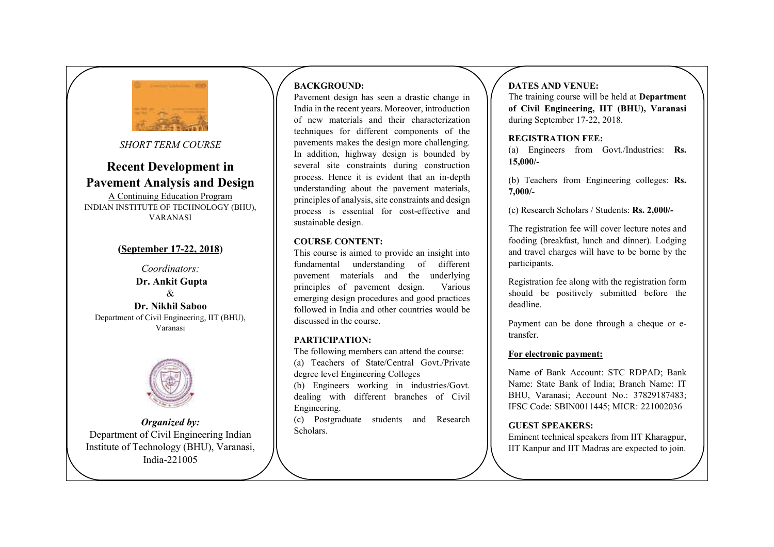

*SHORT TERM COURSE*

# **Recent Development in Pavement Analysis and Design**

A Continuing Education Program INDIAN INSTITUTE OF TECHNOLOGY (BHU), VARANASI

### **(September 17-22, 2018)**

*Coordinators:*  **Dr. Ankit Gupta**   $\mathcal{R}$ **Dr. Nikhil Saboo**  Department of Civil Engineering, IIT (BHU), Varanasi



*Organized by:*  Department of Civil Engineering Indian Institute of Technology (BHU), Varanasi, India-221005

# **BACKGROUND:**

Pavement design has seen a drastic change in India in the recent years. Moreover, introduction of new materials and their characterization techniques for different components of the pavements makes the design more challenging. In addition, highway design is bounded by several site constraints during construction process. Hence it is evident that an in-depth understanding about the pavement materials, principles of analysis, site constraints and design process is essential for cost-effective and sustainable design.

#### **COURSE CONTENT:**

This course is aimed to provide an insight into fundamental understanding of different pavement materials and the underlying principles of pavement design. Various emerging design procedures and good practices followed in India and other countries would be discussed in the course.

#### **PARTICIPATION:**

The following members can attend the course: (a) Teachers of State/Central Govt./Private degree level Engineering Colleges

(b) Engineers working in industries/Govt. dealing with different branches of Civil Engineering.

(c) Postgraduate students and Research **Scholars** 

# **DATES AND VENUE:**

The training course will be held at **Department of Civil Engineering, IIT (BHU), Varanasi**  during September 17-22, 2018.

#### **REGISTRATION FEE:**

(a) Engineers from Govt./Industries: **Rs. 15,000/-** 

(b) Teachers from Engineering colleges: **Rs. 7,000/-** 

(c) Research Scholars / Students: **Rs. 2,000/-**

The registration fee will cover lecture notes and fooding (breakfast, lunch and dinner). Lodging and travel charges will have to be borne by the participants.

Registration fee along with the registration form should be positively submitted before the deadline.

Payment can be done through a cheque or etransfer.

#### **For electronic payment:**

Name of Bank Account: STC RDPAD; Bank Name: State Bank of India; Branch Name: IT BHU, Varanasi; Account No.: 37829187483; IFSC Code: SBIN0011445; MICR: 221002036

### **GUEST SPEAKERS:**

Eminent technical speakers from IIT Kharagpur, IIT Kanpur and IIT Madras are expected to join.